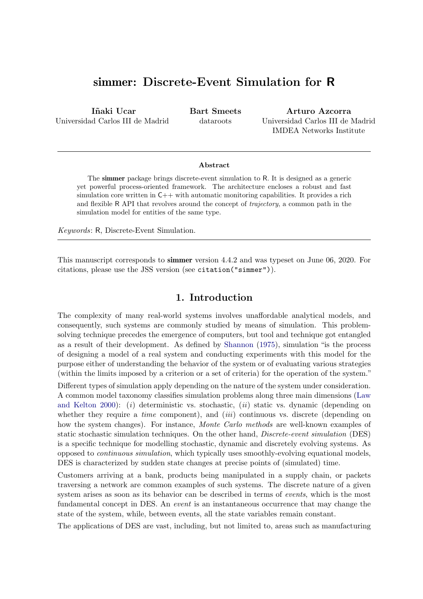# simmer: Discrete-Event Simulation for R

Iñaki Ucar Universidad Carlos III de Madrid Bart Smeets dataroots

Arturo Azcorra Universidad Carlos III de Madrid IMDEA Networks Institute

#### Abstract

The simmer package brings discrete-event simulation to R. It is designed as a generic yet powerful process-oriented framework. The architecture encloses a robust and fast simulation core written in  $C++$  with automatic monitoring capabilities. It provides a rich and flexible R API that revolves around the concept of trajectory, a common path in the simulation model for entities of the same type.

Keywords: R, Discrete-Event Simulation.

This manuscript corresponds to simmer version 4.4.2 and was typeset on June 06, 2020. For citations, please use the JSS version (see citation("simmer")).

## 1. Introduction

The complexity of many real-world systems involves unaffordable analytical models, and consequently, such systems are commonly studied by means of simulation. This problemsolving technique precedes the emergence of computers, but tool and technique got entangled as a result of their development. As defined by [Shannon](#page-29-0) [\(1975\)](#page-29-0), simulation "is the process of designing a model of a real system and conducting experiments with this model for the purpose either of understanding the behavior of the system or of evaluating various strategies (within the limits imposed by a criterion or a set of criteria) for the operation of the system."

Different types of simulation apply depending on the nature of the system under consideration. A common model taxonomy classifies simulation problems along three main dimensions [\(Law](#page-28-0) [and Kelton](#page-28-0) [2000\)](#page-28-0): (i) deterministic vs. stochastic, (ii) static vs. dynamic (depending on whether they require a *time* component), and  $(iii)$  continuous vs. discrete (depending on how the system changes). For instance, *Monte Carlo methods* are well-known examples of static stochastic simulation techniques. On the other hand, *Discrete-event simulation* (DES) is a specific technique for modelling stochastic, dynamic and discretely evolving systems. As opposed to continuous simulation, which typically uses smoothly-evolving equational models, DES is characterized by sudden state changes at precise points of (simulated) time.

Customers arriving at a bank, products being manipulated in a supply chain, or packets traversing a network are common examples of such systems. The discrete nature of a given system arises as soon as its behavior can be described in terms of events, which is the most fundamental concept in DES. An event is an instantaneous occurrence that may change the state of the system, while, between events, all the state variables remain constant.

The applications of DES are vast, including, but not limited to, areas such as manufacturing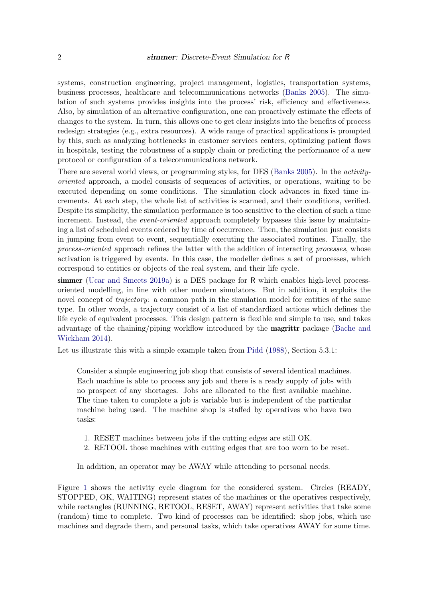systems, construction engineering, project management, logistics, transportation systems, business processes, healthcare and telecommunications networks [\(Banks](#page-28-1) [2005\)](#page-28-1). The simulation of such systems provides insights into the process' risk, efficiency and effectiveness. Also, by simulation of an alternative configuration, one can proactively estimate the effects of changes to the system. In turn, this allows one to get clear insights into the benefits of process redesign strategies (e.g., extra resources). A wide range of practical applications is prompted by this, such as analyzing bottlenecks in customer services centers, optimizing patient flows in hospitals, testing the robustness of a supply chain or predicting the performance of a new protocol or configuration of a telecommunications network.

There are several world views, or programming styles, for DES [\(Banks](#page-28-1) [2005\)](#page-28-1). In the activityoriented approach, a model consists of sequences of activities, or operations, waiting to be executed depending on some conditions. The simulation clock advances in fixed time increments. At each step, the whole list of activities is scanned, and their conditions, verified. Despite its simplicity, the simulation performance is too sensitive to the election of such a time increment. Instead, the *event-oriented* approach completely bypasses this issue by maintaining a list of scheduled events ordered by time of occurrence. Then, the simulation just consists in jumping from event to event, sequentially executing the associated routines. Finally, the process-oriented approach refines the latter with the addition of interacting processes, whose activation is triggered by events. In this case, the modeller defines a set of processes, which correspond to entities or objects of the real system, and their life cycle.

simmer [\(Ucar and Smeets](#page-29-1) [2019a\)](#page-29-1) is a DES package for R which enables high-level processoriented modelling, in line with other modern simulators. But in addition, it exploits the novel concept of *trajectory*: a common path in the simulation model for entities of the same type. In other words, a trajectory consist of a list of standardized actions which defines the life cycle of equivalent processes. This design pattern is flexible and simple to use, and takes advantage of the chaining/piping workflow introduced by the magrittr package [\(Bache and](#page-28-2) [Wickham](#page-28-2) [2014\)](#page-28-2).

Let us illustrate this with a simple example taken from [Pidd](#page-29-2) [\(1988\)](#page-29-2), Section 5.3.1:

Consider a simple engineering job shop that consists of several identical machines. Each machine is able to process any job and there is a ready supply of jobs with no prospect of any shortages. Jobs are allocated to the first available machine. The time taken to complete a job is variable but is independent of the particular machine being used. The machine shop is staffed by operatives who have two tasks:

- 1. RESET machines between jobs if the cutting edges are still OK.
- 2. RETOOL those machines with cutting edges that are too worn to be reset.

In addition, an operator may be AWAY while attending to personal needs.

Figure [1](#page-2-0) shows the activity cycle diagram for the considered system. Circles (READY, STOPPED, OK, WAITING) represent states of the machines or the operatives respectively, while rectangles (RUNNING, RETOOL, RESET, AWAY) represent activities that take some (random) time to complete. Two kind of processes can be identified: shop jobs, which use machines and degrade them, and personal tasks, which take operatives AWAY for some time.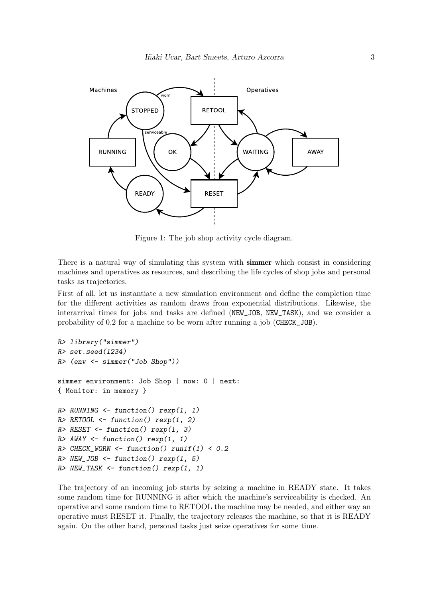<span id="page-2-0"></span>

Figure 1: The job shop activity cycle diagram.

There is a natural way of simulating this system with **simmer** which consist in considering machines and operatives as resources, and describing the life cycles of shop jobs and personal tasks as trajectories.

First of all, let us instantiate a new simulation environment and define the completion time for the different activities as random draws from exponential distributions. Likewise, the interarrival times for jobs and tasks are defined (NEW\_JOB, NEW\_TASK), and we consider a probability of 0.2 for a machine to be worn after running a job (CHECK\_JOB).

```
R> library("simmer")
R> set.seed(1234)
R> (env <- simmer("Job Shop"))
simmer environment: Job Shop | now: 0 | next:
{ Monitor: in memory }
R> RUNNING <- function() rexp(1, 1)
R > RETOOL \leftarrow function() rexp(1, 2)
R> RESET <- function() rexp(1, 3)
R> AWAY <- function() rexp(1, 1)
R> CHECK_WORN <- function() runif(1) < 0.2
R > NEW\_JOB \leftarrow function() \text{resp}(1, 5)R> NEW_TASK <- function() rexp(1, 1)
```
The trajectory of an incoming job starts by seizing a machine in READY state. It takes some random time for RUNNING it after which the machine's serviceability is checked. An operative and some random time to RETOOL the machine may be needed, and either way an operative must RESET it. Finally, the trajectory releases the machine, so that it is READY again. On the other hand, personal tasks just seize operatives for some time.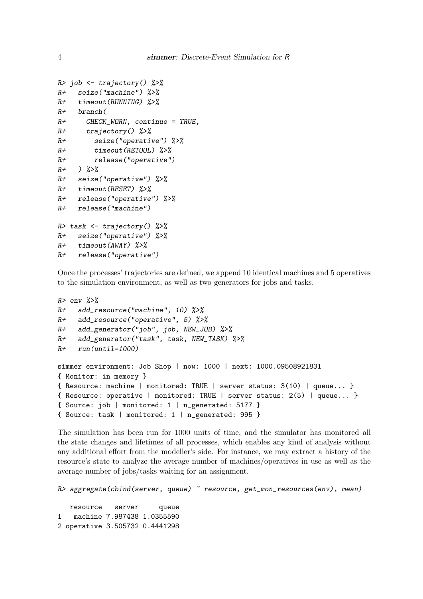```
R> job <- trajectory() %>%
R+ seize("machine") %>%
R+ timeout(RUNNING) %>%
R+ branch(
R+ CHECK_WORN, continue = TRUE,
R+ trajectory() %>%
R+ seize("operative") %>%
R+ timeout(RETOOL) %>%
R+ release("operative")
R+ ) \frac{9}{2} > \frac{9}{2}R+ seize("operative") %>%
R+ timeout(RESET) %>%
R+ release("operative") %>%
R+ release("machine")
R> task \leftarrow trajectory() %>%
R+ seize("operative") %>%
R+ timeout (AWAY) %>%
R+ release("operative")
```
Once the processes' trajectories are defined, we append 10 identical machines and 5 operatives to the simulation environment, as well as two generators for jobs and tasks.

```
R> env \frac{9}{2}\frac{9}{8}R+ add_resource("machine", 10) %>%
R+ add_resource("operative", 5) %>%
R+ add_generator("job", job, NEW_JOB) %>%
R+ add_generator("task", task, NEW_TASK) %>%
R+ run(until=1000)
simmer environment: Job Shop | now: 1000 | next: 1000.09508921831
{ Monitor: in memory }
{ Resource: machine | monitored: TRUE | server status: 3(10) | queue... }
{ Resource: operative | monitored: TRUE | server status: 2(5) | queue... }
{ Source: job | monitored: 1 | n_generated: 5177 }
{ Source: task | monitored: 1 | n_generated: 995 }
```
The simulation has been run for 1000 units of time, and the simulator has monitored all the state changes and lifetimes of all processes, which enables any kind of analysis without any additional effort from the modeller's side. For instance, we may extract a history of the resource's state to analyze the average number of machines/operatives in use as well as the average number of jobs/tasks waiting for an assignment.

```
R> aggregate(cbind(server, queue) \tilde{z} resource, get_mon_resources(env), mean)
```
resource server queue 1 machine 7.987438 1.0355590 2 operative 3.505732 0.4441298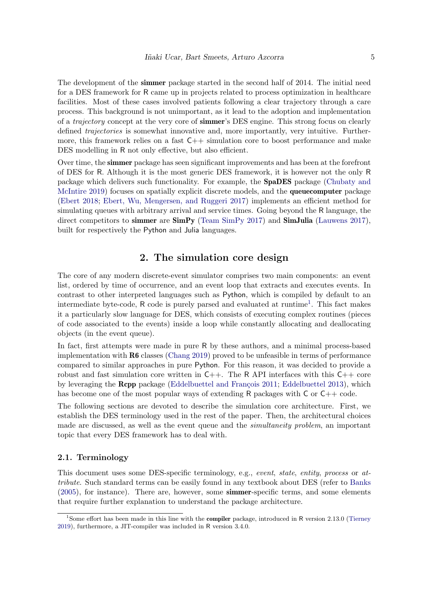The development of the **simmer** package started in the second half of 2014. The initial need for a DES framework for R came up in projects related to process optimization in healthcare facilities. Most of these cases involved patients following a clear trajectory through a care process. This background is not unimportant, as it lead to the adoption and implementation of a *trajectory* concept at the very core of **simmer**'s DES engine. This strong focus on clearly defined *trajectories* is somewhat innovative and, more importantly, very intuitive. Furthermore, this framework relies on a fast  $C++$  simulation core to boost performance and make DES modelling in R not only effective, but also efficient.

Over time, the simmer package has seen significant improvements and has been at the forefront of DES for R. Although it is the most generic DES framework, it is however not the only R package which delivers such functionality. For example, the SpaDES package [\(Chubaty and](#page-28-3) [McIntire](#page-28-3) [2019\)](#page-28-3) focuses on spatially explicit discrete models, and the queuecomputer package [\(Ebert](#page-28-4) [2018;](#page-28-4) [Ebert, Wu, Mengersen, and Ruggeri](#page-28-5) [2017\)](#page-28-5) implements an efficient method for simulating queues with arbitrary arrival and service times. Going beyond the R language, the direct competitors to simmer are  $\text{SimPy (Team SimPy 2017)}$  $\text{SimPy (Team SimPy 2017)}$  $\text{SimPy (Team SimPy 2017)}$  $\text{SimPy (Team SimPy 2017)}$  $\text{SimPy (Team SimPy 2017)}$  and  $\text{SimJulia (Lauwens 2017)}$  $\text{SimJulia (Lauwens 2017)}$  $\text{SimJulia (Lauwens 2017)}$ , built for respectively the Python and Julia languages.

# 2. The simulation core design

The core of any modern discrete-event simulator comprises two main components: an event list, ordered by time of occurrence, and an event loop that extracts and executes events. In contrast to other interpreted languages such as Python, which is compiled by default to an intermediate byte-code, R code is purely parsed and evaluated at runtime<sup>[1](#page-4-0)</sup>. This fact makes it a particularly slow language for DES, which consists of executing complex routines (pieces of code associated to the events) inside a loop while constantly allocating and deallocating objects (in the event queue).

In fact, first attempts were made in pure R by these authors, and a minimal process-based implementation with  $R6$  classes [\(Chang](#page-28-7) [2019\)](#page-28-7) proved to be unfeasible in terms of performance compared to similar approaches in pure Python. For this reason, it was decided to provide a robust and fast simulation core written in  $C_{++}$ . The R API interfaces with this  $C_{++}$  core by leveraging the **Rcpp** package (Eddelbuettel and François [2011;](#page-28-8) [Eddelbuettel](#page-28-9) [2013\)](#page-28-9), which has become one of the most popular ways of extending R packages with C or C++ code.

The following sections are devoted to describe the simulation core architecture. First, we establish the DES terminology used in the rest of the paper. Then, the architectural choices made are discussed, as well as the event queue and the *simultaneity problem*, an important topic that every DES framework has to deal with.

## <span id="page-4-1"></span>2.1. Terminology

This document uses some DES-specific terminology, e.g., event, state, entity, process or attribute. Such standard terms can be easily found in any textbook about DES (refer to [Banks](#page-28-1) [\(2005\)](#page-28-1), for instance). There are, however, some simmer-specific terms, and some elements that require further explanation to understand the package architecture.

<span id="page-4-0"></span><sup>&</sup>lt;sup>1</sup>Some effort has been made in this line with the **compiler** package, introduced in R version 2.13.0 [\(Tierney](#page-29-4) [2019\)](#page-29-4), furthermore, a JIT-compiler was included in R version 3.4.0.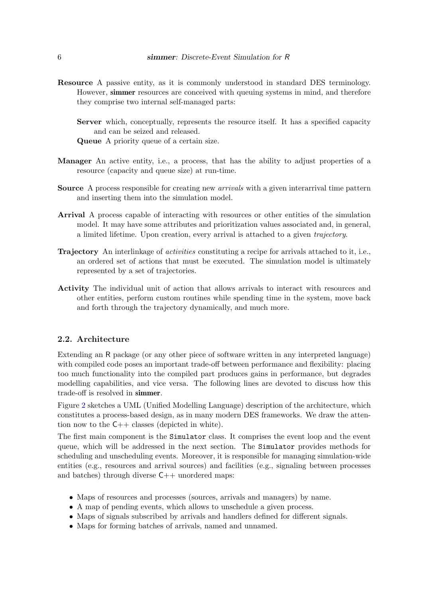- Resource A passive entity, as it is commonly understood in standard DES terminology. However, simmer resources are conceived with queuing systems in mind, and therefore they comprise two internal self-managed parts:
	- Server which, conceptually, represents the resource itself. It has a specified capacity and can be seized and released.

Queue A priority queue of a certain size.

- Manager An active entity, i.e., a process, that has the ability to adjust properties of a resource (capacity and queue size) at run-time.
- **Source** A process responsible for creating new *arrivals* with a given interarrival time pattern and inserting them into the simulation model.
- Arrival A process capable of interacting with resources or other entities of the simulation model. It may have some attributes and prioritization values associated and, in general, a limited lifetime. Upon creation, every arrival is attached to a given trajectory.
- Trajectory An interlinkage of *activities* constituting a recipe for arrivals attached to it, i.e., an ordered set of actions that must be executed. The simulation model is ultimately represented by a set of trajectories.
- Activity The individual unit of action that allows arrivals to interact with resources and other entities, perform custom routines while spending time in the system, move back and forth through the trajectory dynamically, and much more.

## 2.2. Architecture

Extending an R package (or any other piece of software written in any interpreted language) with compiled code poses an important trade-off between performance and flexibility: placing too much functionality into the compiled part produces gains in performance, but degrades modelling capabilities, and vice versa. The following lines are devoted to discuss how this trade-off is resolved in simmer.

Figure [2](#page-6-0) sketches a UML (Unified Modelling Language) description of the architecture, which constitutes a process-based design, as in many modern DES frameworks. We draw the attention now to the  $C++$  classes (depicted in white).

The first main component is the Simulator class. It comprises the event loop and the event queue, which will be addressed in the next section. The Simulator provides methods for scheduling and unscheduling events. Moreover, it is responsible for managing simulation-wide entities (e.g., resources and arrival sources) and facilities (e.g., signaling between processes and batches) through diverse  $C++$  unordered maps:

- Maps of resources and processes (sources, arrivals and managers) by name.
- A map of pending events, which allows to unschedule a given process.
- Maps of signals subscribed by arrivals and handlers defined for different signals.
- Maps for forming batches of arrivals, named and unnamed.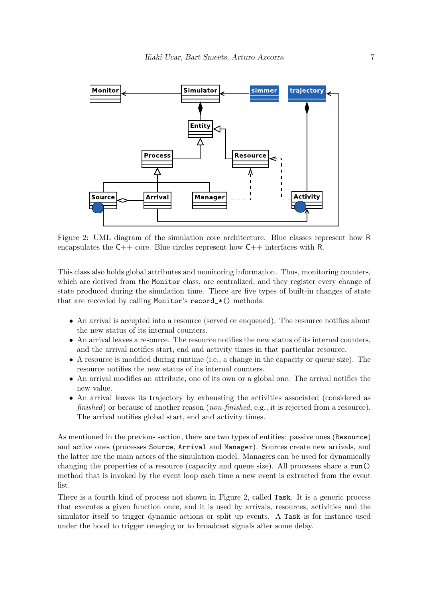<span id="page-6-0"></span>

Figure 2: UML diagram of the simulation core architecture. Blue classes represent how R encapsulates the  $C_{++}$  core. Blue circles represent how  $C_{++}$  interfaces with R.

This class also holds global attributes and monitoring information. Thus, monitoring counters, which are derived from the Monitor class, are centralized, and they register every change of state produced during the simulation time. There are five types of built-in changes of state that are recorded by calling Monitor's record\_\*() methods:

- An arrival is accepted into a resource (served or enqueued). The resource notifies about the new status of its internal counters.
- An arrival leaves a resource. The resource notifies the new status of its internal counters, and the arrival notifies start, end and activity times in that particular resource.
- A resource is modified during runtime (i.e., a change in the capacity or queue size). The resource notifies the new status of its internal counters.
- An arrival modifies an attribute, one of its own or a global one. The arrival notifies the new value.
- An arrival leaves its trajectory by exhausting the activities associated (considered as finished) or because of another reason (non-finished, e.g., it is rejected from a resource). The arrival notifies global start, end and activity times.

As mentioned in the previous section, there are two types of entities: passive ones (Resource) and active ones (processes Source, Arrival and Manager). Sources create new arrivals, and the latter are the main actors of the simulation model. Managers can be used for dynamically changing the properties of a resource (capacity and queue size). All processes share a run() method that is invoked by the event loop each time a new event is extracted from the event list.

There is a fourth kind of process not shown in Figure [2,](#page-6-0) called Task. It is a generic process that executes a given function once, and it is used by arrivals, resources, activities and the simulator itself to trigger dynamic actions or split up events. A Task is for instance used under the hood to trigger reneging or to broadcast signals after some delay.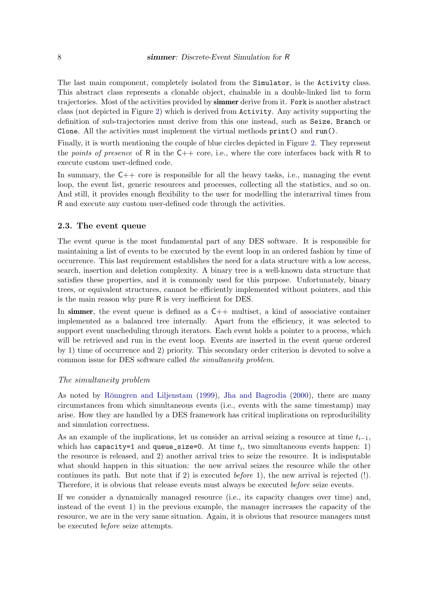The last main component, completely isolated from the Simulator, is the Activity class. This abstract class represents a clonable object, chainable in a double-linked list to form trajectories. Most of the activities provided by simmer derive from it. Fork is another abstract class (not depicted in Figure [2\)](#page-6-0) which is derived from Activity. Any activity supporting the definition of sub-trajectories must derive from this one instead, such as Seize, Branch or Clone. All the activities must implement the virtual methods  $print()$  and  $run()$ .

Finally, it is worth mentioning the couple of blue circles depicted in Figure [2.](#page-6-0) They represent the *points of presence* of R in the  $C++$  core, i.e., where the core interfaces back with R to execute custom user-defined code.

In summary, the  $C++$  core is responsible for all the heavy tasks, i.e., managing the event loop, the event list, generic resources and processes, collecting all the statistics, and so on. And still, it provides enough flexibility to the user for modelling the interarrival times from R and execute any custom user-defined code through the activities.

## 2.3. The event queue

The event queue is the most fundamental part of any DES software. It is responsible for maintaining a list of events to be executed by the event loop in an ordered fashion by time of occurrence. This last requirement establishes the need for a data structure with a low access, search, insertion and deletion complexity. A binary tree is a well-known data structure that satisfies these properties, and it is commonly used for this purpose. Unfortunately, binary trees, or equivalent structures, cannot be efficiently implemented without pointers, and this is the main reason why pure R is very inefficient for DES.

In simmer, the event queue is defined as  $a \mathsf{C}_{++}$  multiset, a kind of associative container implemented as a balanced tree internally. Apart from the efficiency, it was selected to support event unscheduling through iterators. Each event holds a pointer to a process, which will be retrieved and run in the event loop. Events are inserted in the event queue ordered by 1) time of occurrence and 2) priority. This secondary order criterion is devoted to solve a common issue for DES software called the simultaneity problem.

#### The simultaneity problem

As noted by Rönngren and Liljenstam [\(1999\)](#page-29-5), [Jha and Bagrodia](#page-28-10) [\(2000\)](#page-28-10), there are many circumstances from which simultaneous events (i.e., events with the same timestamp) may arise. How they are handled by a DES framework has critical implications on reproducibility and simulation correctness.

As an example of the implications, let us consider an arrival seizing a resource at time  $t_{i-1}$ , which has capacity=1 and queue\_size=0. At time  $t_i$ , two simultaneous events happen: 1) the resource is released, and 2) another arrival tries to seize the resource. It is indisputable what should happen in this situation: the new arrival seizes the resource while the other continues its path. But note that if 2) is executed *before* 1), the new arrival is rejected  $(!)$ . Therefore, it is obvious that release events must always be executed before seize events.

If we consider a dynamically managed resource (i.e., its capacity changes over time) and, instead of the event 1) in the previous example, the manager increases the capacity of the resource, we are in the very same situation. Again, it is obvious that resource managers must be executed before seize attempts.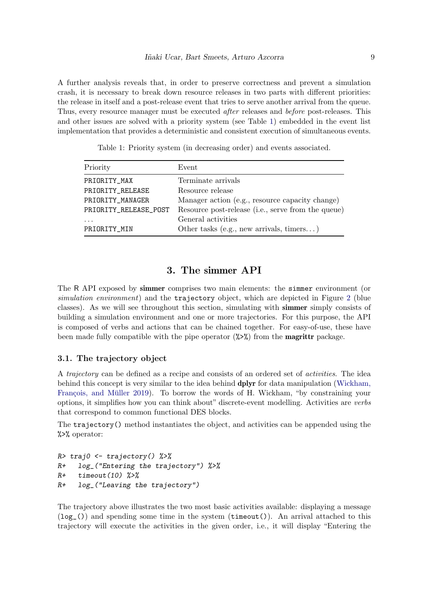A further analysis reveals that, in order to preserve correctness and prevent a simulation crash, it is necessary to break down resource releases in two parts with different priorities: the release in itself and a post-release event that tries to serve another arrival from the queue. Thus, every resource manager must be executed after releases and before post-releases. This and other issues are solved with a priority system (see Table [1\)](#page-8-0) embedded in the event list implementation that provides a deterministic and consistent execution of simultaneous events.

<span id="page-8-0"></span>

| Priority              | Event                                              |
|-----------------------|----------------------------------------------------|
| PRIORITY_MAX          | Terminate arrivals                                 |
| PRIORITY_RELEASE      | Resource release                                   |
| PRIORITY_MANAGER      | Manager action (e.g., resource capacity change)    |
| PRIORITY_RELEASE_POST | Resource post-release (i.e., serve from the queue) |
|                       | General activities                                 |
| PRIORITY_MIN          | Other tasks (e.g., new arrivals, timers)           |

Table 1: Priority system (in decreasing order) and events associated.

# 3. The simmer API

The R API exposed by simmer comprises two main elements: the simmer environment (or simulation environment) and the trajectory object, which are depicted in Figure [2](#page-6-0) (blue classes). As we will see throughout this section, simulating with simmer simply consists of building a simulation environment and one or more trajectories. For this purpose, the API is composed of verbs and actions that can be chained together. For easy-of-use, these have been made fully compatible with the pipe operator  $(\sqrt{2})$  from the **magrittr** package.

## 3.1. The trajectory object

A trajectory can be defined as a recipe and consists of an ordered set of activities. The idea behind this concept is very similar to the idea behind dplyr for data manipulation [\(Wickham,](#page-29-6) François, and Müller [2019\)](#page-29-6). To borrow the words of H. Wickham, "by constraining your options, it simplifies how you can think about" discrete-event modelling. Activities are verbs that correspond to common functional DES blocks.

The trajectory() method instantiates the object, and activities can be appended using the %>% operator:

```
R> traj0 <- trajectory() %>%
R+ log_("Entering the trajectory") %>%
R+ timeout (10) %>%
R+ log_("Leaving the trajectory")
```
The trajectory above illustrates the two most basic activities available: displaying a message  $(log_{\text{I}}(t))$  and spending some time in the system (timeout()). An arrival attached to this trajectory will execute the activities in the given order, i.e., it will display "Entering the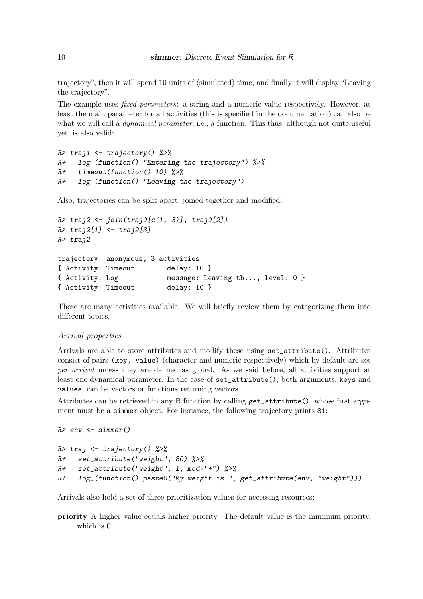trajectory", then it will spend 10 units of (simulated) time, and finally it will display "Leaving the trajectory".

The example uses *fixed parameters*: a string and a numeric value respectively. However, at least the main parameter for all activities (this is specified in the documentation) can also be what we will call a *dynamical parameter*, i.e., a function. This thus, although not quite useful yet, is also valid:

```
R> traj1 <- trajectory() %>%
R+ log_(function() "Entering the trajectory") %>%
R+ timeout(function() 10) %>%
R+ log_(function() "Leaving the trajectory")
```
Also, trajectories can be split apart, joined together and modified:

```
R> traj2 <- join(traj0[c(1, 3)], traj0[2])
R> traj2[1] <- traj2[3]
R> traj2
trajectory: anonymous, 3 activities
{ Activity: Timeout | delay: 10 }
{ Activity: Log | message: Leaving th..., level: 0 }
{ Activity: Timeout | delay: 10 }
```
There are many activities available. We will briefly review them by categorizing them into different topics.

#### Arrival properties

Arrivals are able to store attributes and modify these using set\_attribute(). Attributes consist of pairs (key, value) (character and numeric respectively) which by default are set per arrival unless they are defined as global. As we said before, all activities support at least one dynamical parameter. In the case of set\_attribute(), both arguments, keys and values, can be vectors or functions returning vectors.

Attributes can be retrieved in any R function by calling get\_attribute(), whose first argument must be a simmer object. For instance, the following trajectory prints 81:

```
R> env <- simmer()
```

```
R> traj \leftarrow trajectory() %>%
R+ set_attribute("weight", 80) %>%
R+ set_attribute("weight", 1, mod="+") \frac{1}{2}R+ log_(function() paste0("My weight is ", get_attribute(env, "weight")))
```
Arrivals also hold a set of three prioritization values for accessing resources:

priority A higher value equals higher priority. The default value is the minimum priority, which is 0.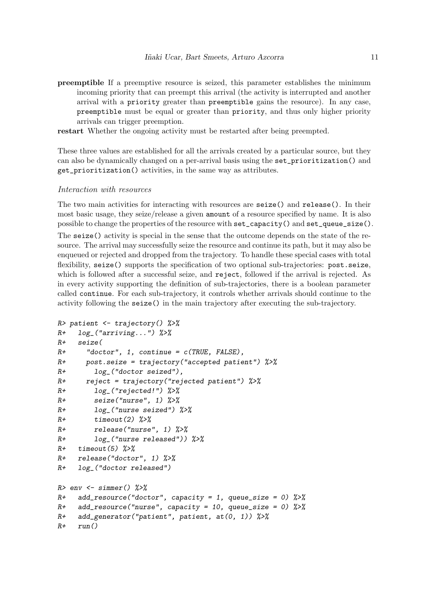- preemptible If a preemptive resource is seized, this parameter establishes the minimum incoming priority that can preempt this arrival (the activity is interrupted and another arrival with a priority greater than preemptible gains the resource). In any case, preemptible must be equal or greater than priority, and thus only higher priority arrivals can trigger preemption.
- restart Whether the ongoing activity must be restarted after being preempted.

These three values are established for all the arrivals created by a particular source, but they can also be dynamically changed on a per-arrival basis using the set\_prioritization() and get\_prioritization() activities, in the same way as attributes.

#### Interaction with resources

The two main activities for interacting with resources are seize() and release(). In their most basic usage, they seize/release a given amount of a resource specified by name. It is also possible to change the properties of the resource with set\_capacity() and set\_queue\_size().

The seize() activity is special in the sense that the outcome depends on the state of the resource. The arrival may successfully seize the resource and continue its path, but it may also be enqueued or rejected and dropped from the trajectory. To handle these special cases with total flexibility, seize() supports the specification of two optional sub-trajectories: post.seize, which is followed after a successful seize, and reject, followed if the arrival is rejected. As in every activity supporting the definition of sub-trajectories, there is a boolean parameter called continue. For each sub-trajectory, it controls whether arrivals should continue to the activity following the seize() in the main trajectory after executing the sub-trajectory.

```
R> patient <- trajectory() %>%
R+ log_("arriving...") %>%
R+ seize(
R+ "doctor", 1, continue = c(TRUE, FALSE),
R+ post.seize = trajectory("accepted patient") \frac{9}{2}R+ log_("doctor seized"),
R+ reject = trajectory("rejected patient") \frac{1}{2}R+ log_("rejected!") \frac{1}{2} >%
R+ seize("nurse", 1) %>%
R+ log_("nurse seized") %>%
R+ timeout(2) \frac{9}{2}R+ release("nurse", 1) \frac{9}{2} \frac{9}{2}R+ log_("nurse released")) %>%
R+ timeout(5) \frac{9}{2} \frac{9}{2}R+ release("doctor", 1) %>%
R+ log_("doctor released")
R> env <- simmer() %>%
R+ add_resource("doctor", capacity = 1, queue_size = 0) \frac{1}{2}R+ add_resource("nurse", capacity = 10, queue_size = 0) \frac{1}{2}R+ add_generator("patient", patient, at(0, 1)) %>%
R+ run()
```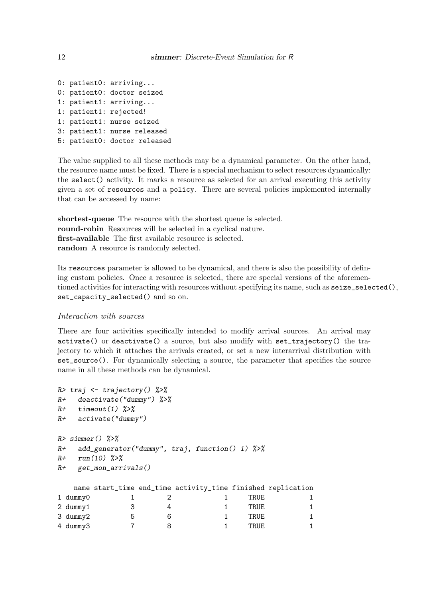```
0: patient0: arriving...
0: patient0: doctor seized
1: patient1: arriving...
1: patient1: rejected!
1: patient1: nurse seized
3: patient1: nurse released
5: patient0: doctor released
```
The value supplied to all these methods may be a dynamical parameter. On the other hand, the resource name must be fixed. There is a special mechanism to select resources dynamically: the select() activity. It marks a resource as selected for an arrival executing this activity given a set of resources and a policy. There are several policies implemented internally that can be accessed by name:

shortest-queue The resource with the shortest queue is selected. round-robin Resources will be selected in a cyclical nature. first-available The first available resource is selected. random A resource is randomly selected.

Its resources parameter is allowed to be dynamical, and there is also the possibility of defining custom policies. Once a resource is selected, there are special versions of the aforementioned activities for interacting with resources without specifying its name, such as seize\_selected(), set\_capacity\_selected() and so on.

## Interaction with sources

There are four activities specifically intended to modify arrival sources. An arrival may activate() or deactivate() a source, but also modify with set\_trajectory() the trajectory to which it attaches the arrivals created, or set a new interarrival distribution with set\_source(). For dynamically selecting a source, the parameter that specifies the source name in all these methods can be dynamical.

```
R> traj <- trajectory() %>%
R+ deactivate("dummy") %>%
R+ timeout (1) \frac{9}{2} >%
R+ activate("dummy")
R> simmer() \frac{9}{2}>%
R+ add_generator("dummy", traj, function() 1) %>%
R+ run(10) \frac{9}{2} >%
R+ get_mon_arrivals()
  name start_time end_time activity_time finished replication
1 dummy0 1 2 1 TRUE 1
2 dummy1 3 4 1 TRUE 1
3 dummy2 5 6 6 1 TRUE 1
4 dummy3 7 8 1 TRUE 1
```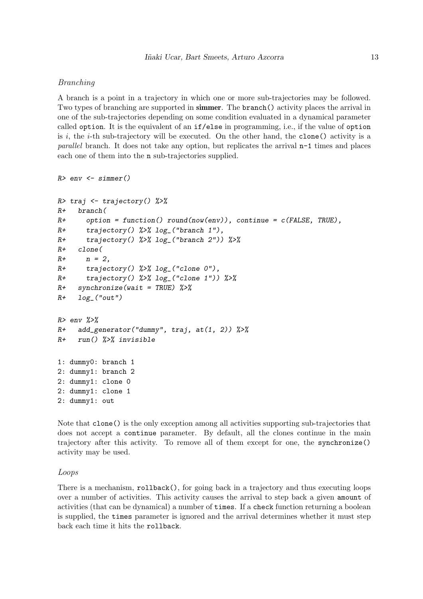## Branching

A branch is a point in a trajectory in which one or more sub-trajectories may be followed. Two types of branching are supported in simmer. The branch() activity places the arrival in one of the sub-trajectories depending on some condition evaluated in a dynamical parameter called option. It is the equivalent of an if/else in programming, i.e., if the value of option is i, the  $i$ -th sub-trajectory will be executed. On the other hand, the clone() activity is a parallel branch. It does not take any option, but replicates the arrival n-1 times and places each one of them into the n sub-trajectories supplied.

```
R> env <- simmer()
```

```
R> traj \leftarrow trajectory() %>%
R+ branch(
R+ option = function() round(now(env)), continue = c(FALSE, TRUE),
R+ trajectory() %>% log_("branch 1"),
R+ trajectory() \frac{1}{2} log_("branch 2")) \frac{1}{2} /
R+ clone(
R+ n = 2,
R+ trajectory() \frac{1}{2} \frac{1}{2} \frac{1}{2} \frac{1}{2} \frac{1}{2} \frac{1}{2} \frac{1}{2} \frac{1}{2} \frac{1}{2} \frac{1}{2} \frac{1}{2} \frac{1}{2} \frac{1}{2} \frac{1}{2} \frac{1}{2} \frac{1}{2} \frac{1}{2} \frac{1}{2} \frac{1}{2} \frac{1}{2} \fracR+ trajectory() %>% log_("clone 1")) %>%
R+ synchronize(wait = TRUE) \frac{9}{2}R+ \log_{10}("out")
R> env \frac{9}{2}R+ add_generator("dummy", traj, at(1, 2)) %>%
R+ run() %>% invisible
1: dummy0: branch 1
2: dummy1: branch 2
2: dummy1: clone 0
2: dummy1: clone 1
2: dummy1: out
```
Note that clone() is the only exception among all activities supporting sub-trajectories that does not accept a continue parameter. By default, all the clones continue in the main trajectory after this activity. To remove all of them except for one, the synchronize() activity may be used.

#### Loops

There is a mechanism, rollback(), for going back in a trajectory and thus executing loops over a number of activities. This activity causes the arrival to step back a given amount of activities (that can be dynamical) a number of times. If a check function returning a boolean is supplied, the times parameter is ignored and the arrival determines whether it must step back each time it hits the rollback.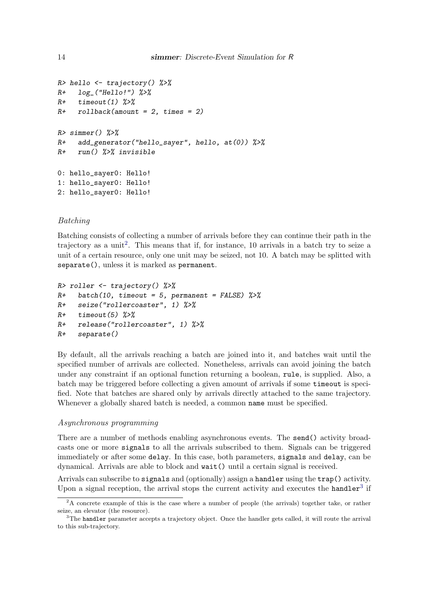```
R> hello \leq trajectory() \frac{9}{2}R+ \log_{10}("Hello!") %>%
R+ timeout (1) \frac{9}{2}R+ rollback(amount = 2, times = 2)
R > simmer() \frac{9}{2} \frac{5}{2}R+ add_generator("hello_sayer", hello, at(0)) \frac{9}{6}%
R+ run() %>% invisible
0: hello_sayer0: Hello!
1: hello_sayer0: Hello!
2: hello_sayer0: Hello!
```
## Batching

Batching consists of collecting a number of arrivals before they can continue their path in the trajectory as a unit<sup>[2](#page-13-0)</sup>. This means that if, for instance, 10 arrivals in a batch try to seize a unit of a certain resource, only one unit may be seized, not 10. A batch may be splitted with separate(), unless it is marked as permanent.

```
R> roller \leq trajectory() \frac{9}{2}R+ batch(10, timeout = 5, permanent = FALSE) %>%
R+ seize("rollercoaster", 1) %>%
R+ timeout(5) \frac{9}{2}R+ release("rollercoaster", 1) %>%
R+ separate()
```
By default, all the arrivals reaching a batch are joined into it, and batches wait until the specified number of arrivals are collected. Nonetheless, arrivals can avoid joining the batch under any constraint if an optional function returning a boolean, rule, is supplied. Also, a batch may be triggered before collecting a given amount of arrivals if some timeout is specified. Note that batches are shared only by arrivals directly attached to the same trajectory. Whenever a globally shared batch is needed, a common name must be specified.

#### Asynchronous programming

There are a number of methods enabling asynchronous events. The send() activity broadcasts one or more signals to all the arrivals subscribed to them. Signals can be triggered immediately or after some delay. In this case, both parameters, signals and delay, can be dynamical. Arrivals are able to block and wait() until a certain signal is received.

Arrivals can subscribe to signals and (optionally) assign a handler using the trap() activity. Upon a signal reception, the arrival stops the current activity and executes the handler<sup>[3](#page-13-1)</sup> if

<span id="page-13-0"></span><sup>&</sup>lt;sup>2</sup>A concrete example of this is the case where a number of people (the arrivals) together take, or rather seize, an elevator (the resource).

<span id="page-13-1"></span><sup>&</sup>lt;sup>3</sup>The handler parameter accepts a trajectory object. Once the handler gets called, it will route the arrival to this sub-trajectory.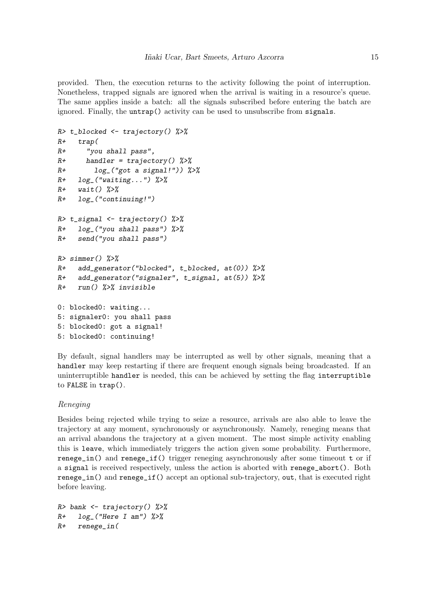provided. Then, the execution returns to the activity following the point of interruption. Nonetheless, trapped signals are ignored when the arrival is waiting in a resource's queue. The same applies inside a batch: all the signals subscribed before entering the batch are ignored. Finally, the untrap() activity can be used to unsubscribe from signals.

```
R> t_blocked <- trajectory() %>%
R+ trap(
R+ "you shall pass",
R+ handler = trajectory() %>%
R+ log_("got a signal!")) %>%
R+ log_("waiting...") %>%
R+ wait() \frac{9}{2} \frac{2}{3}R+ log_("continuing!")
R> t_signal <- trajectory() %>%
R+ log_("you shall pass") %>%
R+ send("you shall pass")
R> simmer() %>%
R+ add_generator("blocked", t_blocked, at(0)) %>%
R+ add_generator("signaler", t_signal, at(5)) %>%
R+ run() %>% invisible
0: blocked0: waiting...
5: signaler0: you shall pass
5: blocked0: got a signal!
5: blocked0: continuing!
```
By default, signal handlers may be interrupted as well by other signals, meaning that a handler may keep restarting if there are frequent enough signals being broadcasted. If an uninterruptible handler is needed, this can be achieved by setting the flag interruptible to FALSE in trap().

## Reneging

Besides being rejected while trying to seize a resource, arrivals are also able to leave the trajectory at any moment, synchronously or asynchronously. Namely, reneging means that an arrival abandons the trajectory at a given moment. The most simple activity enabling this is leave, which immediately triggers the action given some probability. Furthermore, renege\_in() and renege\_if() trigger reneging asynchronously after some timeout t or if a signal is received respectively, unless the action is aborted with renege\_abort(). Both renege\_in() and renege\_if() accept an optional sub-trajectory, out, that is executed right before leaving.

```
R> bank \leq trajectory() %>%
R+ log_("Here I am") %>%
R+ renege_in(
```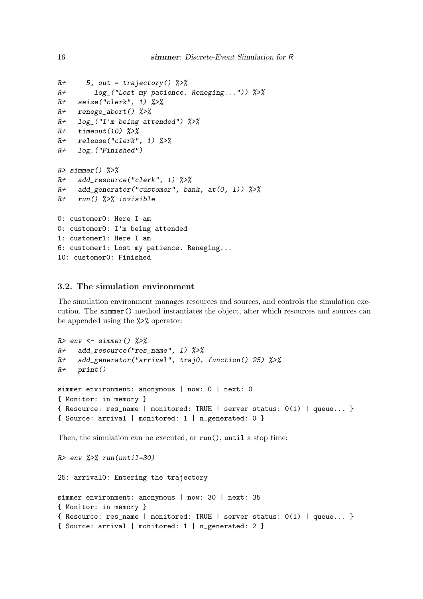```
R+ 5, out = trajectory() %>%
R+ log_("Lost my patience. Reneging...")) %>%
R+ seize("clerk", 1) %>%
R+ renege_abort() %>%
R+ log ("I'm being attended") \frac{9}{2}R+ timeout (10) %>%
R+ release("clerk", 1) %>%
R+ log_("Finished")
R> simmer() \frac{9}{2}>%
R+ add_resource("clerk", 1) %>%
R+ add_generator("customer", bank, at(0, 1)) %>%
R+ run() %>% invisible
0: customer0: Here I am
0: customer0: I'm being attended
1: customer1: Here I am
6: customer1: Lost my patience. Reneging...
10: customer0: Finished
```
## 3.2. The simulation environment

The simulation environment manages resources and sources, and controls the simulation execution. The simmer() method instantiates the object, after which resources and sources can be appended using the %>% operator:

```
R> env <- simmer() %>%
R+ add_resource("res_name", 1) %>%
R+ add_generator("arrival", traj0, function() 25) %>%
R+ print()
simmer environment: anonymous | now: 0 | next: 0
{ Monitor: in memory }
{ Resource: res_name | monitored: TRUE | server status: 0(1) | queue... }
{ Source: arrival | monitored: 1 | n_generated: 0 }
```
Then, the simulation can be executed, or run(), until a stop time:

```
R > env %>% run(until=30)
25: arrival0: Entering the trajectory
simmer environment: anonymous | now: 30 | next: 35
{ Monitor: in memory }
{ Resource: res_name | monitored: TRUE | server status: 0(1) | queue... }
{ Source: arrival | monitored: 1 | n_generated: 2 }
```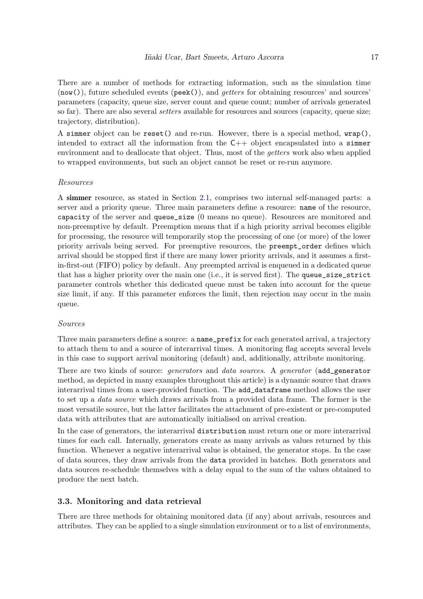There are a number of methods for extracting information, such as the simulation time  $(now()),$  future scheduled events  $(\text{peak}(),)$ , and  $qeters$  for obtaining resources' and sources' parameters (capacity, queue size, server count and queue count; number of arrivals generated so far). There are also several *setters* available for resources and sources (capacity, queue size; trajectory, distribution).

A simmer object can be reset() and re-run. However, there is a special method, wrap(), intended to extract all the information from the  $C++$  object encapsulated into a simmer environment and to deallocate that object. Thus, most of the *getters* work also when applied to wrapped environments, but such an object cannot be reset or re-run anymore.

## Resources

A simmer resource, as stated in Section [2.1,](#page-4-1) comprises two internal self-managed parts: a server and a priority queue. Three main parameters define a resource: name of the resource, capacity of the server and queue\_size (0 means no queue). Resources are monitored and non-preemptive by default. Preemption means that if a high priority arrival becomes eligible for processing, the resource will temporarily stop the processing of one (or more) of the lower priority arrivals being served. For preemptive resources, the preempt\_order defines which arrival should be stopped first if there are many lower priority arrivals, and it assumes a firstin-first-out (FIFO) policy by default. Any preempted arrival is enqueued in a dedicated queue that has a higher priority over the main one (i.e., it is served first). The queue\_size\_strict parameter controls whether this dedicated queue must be taken into account for the queue size limit, if any. If this parameter enforces the limit, then rejection may occur in the main queue.

## Sources

Three main parameters define a source: a name\_prefix for each generated arrival, a trajectory to attach them to and a source of interarrival times. A monitoring flag accepts several levels in this case to support arrival monitoring (default) and, additionally, attribute monitoring.

There are two kinds of source: *generators* and *data sources*. A *generator* (add\_generator method, as depicted in many examples throughout this article) is a dynamic source that draws interarrival times from a user-provided function. The add\_dataframe method allows the user to set up a data source which draws arrivals from a provided data frame. The former is the most versatile source, but the latter facilitates the attachment of pre-existent or pre-computed data with attributes that are automatically initialised on arrival creation.

In the case of generators, the interarrival distribution must return one or more interarrival times for each call. Internally, generators create as many arrivals as values returned by this function. Whenever a negative interarrival value is obtained, the generator stops. In the case of data sources, they draw arrivals from the data provided in batches. Both generators and data sources re-schedule themselves with a delay equal to the sum of the values obtained to produce the next batch.

## 3.3. Monitoring and data retrieval

There are three methods for obtaining monitored data (if any) about arrivals, resources and attributes. They can be applied to a single simulation environment or to a list of environments,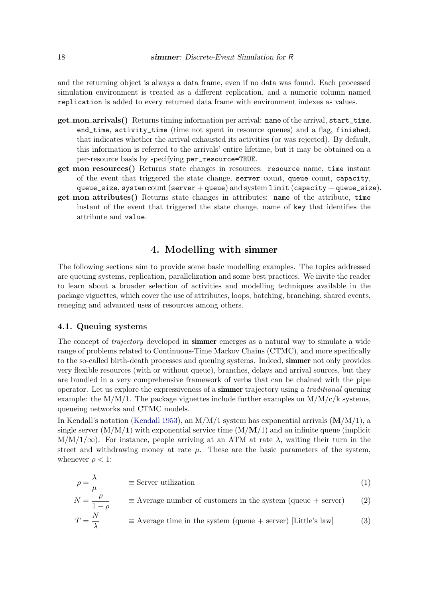and the returning object is always a data frame, even if no data was found. Each processed simulation environment is treated as a different replication, and a numeric column named replication is added to every returned data frame with environment indexes as values.

- get mon arrivals() Returns timing information per arrival: name of the arrival, start\_time, end\_time, activity\_time (time not spent in resource queues) and a flag, finished, that indicates whether the arrival exhausted its activities (or was rejected). By default, this information is referred to the arrivals' entire lifetime, but it may be obtained on a per-resource basis by specifying per\_resource=TRUE.
- get mon resources() Returns state changes in resources: resource name, time instant of the event that triggered the state change, server count, queue count, capacity, queue\_size, system count (server + queue) and system limit (capacity + queue\_size).
- get mon attributes() Returns state changes in attributes: name of the attribute, time instant of the event that triggered the state change, name of key that identifies the attribute and value.

# 4. Modelling with simmer

The following sections aim to provide some basic modelling examples. The topics addressed are queuing systems, replication, parallelization and some best practices. We invite the reader to learn about a broader selection of activities and modelling techniques available in the package vignettes, which cover the use of attributes, loops, batching, branching, shared events, reneging and advanced uses of resources among others.

## <span id="page-17-1"></span>4.1. Queuing systems

<span id="page-17-0"></span>λ

The concept of *trajectory* developed in **simmer** emerges as a natural way to simulate a wide range of problems related to Continuous-Time Markov Chains (CTMC), and more specifically to the so-called birth-death processes and queuing systems. Indeed, **simmer** not only provides very flexible resources (with or without queue), branches, delays and arrival sources, but they are bundled in a very comprehensive framework of verbs that can be chained with the pipe operator. Let us explore the expressiveness of a simmer trajectory using a traditional queuing example: the  $M/M/1$ . The package vignettes include further examples on  $M/M/c/k$  systems, queueing networks and CTMC models.

In Kendall's notation [\(Kendall](#page-28-11) [1953\)](#page-28-11), an  $M/M/1$  system has exponential arrivals  $(M/M/1)$ , a single server  $(M/M/1)$  with exponential service time  $(M/M/1)$  and an infinite queue (implicit  $M/M/1/\infty$ ). For instance, people arriving at an ATM at rate  $\lambda$ , waiting their turn in the street and withdrawing money at rate  $\mu$ . These are the basic parameters of the system, whenever  $\rho < 1$ :

$$
\rho = \frac{\lambda}{\mu} \qquad \equiv \text{Server utilization} \tag{1}
$$

$$
N = \frac{\rho}{1 - \rho} \qquad \equiv \text{Average number of customers in the system (queue + server)} \tag{2}
$$
\n
$$
T = \frac{N}{\lambda} \qquad \equiv \text{Average time in the system (queue + server)} \text{ [Little's law]} \tag{3}
$$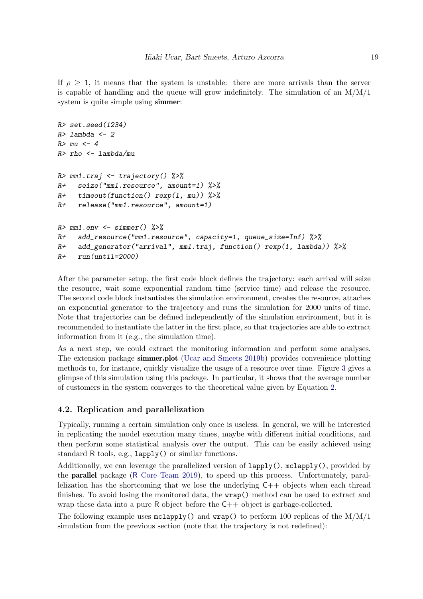If  $\rho > 1$ , it means that the system is unstable: there are more arrivals than the server is capable of handling and the queue will grow indefinitely. The simulation of an  $M/M/1$ system is quite simple using simmer:

```
R> set.seed(1234)
R> lambda <- 2
R>mu < -4R> rho <- lambda/mu
R> mm1.traj <- trajectory() %>%
R+ seize("mm1.resource", amount=1) %>%
R+ timeout(function() rexp(1, mu)) \frac{1}{2}R+ release("mm1.resource", amount=1)
R > mm1.env \leq -sim simmer() \frac{9}{2}R+ add_resource("mm1.resource", capacity=1, queue_size=Inf) %>%
R+ add_generator("arrival", mm1.traj, function() rexp(1, lambda)) \frac{\sqrt{2}}{2}R+ run(until=2000)
```
After the parameter setup, the first code block defines the trajectory: each arrival will seize the resource, wait some exponential random time (service time) and release the resource. The second code block instantiates the simulation environment, creates the resource, attaches an exponential generator to the trajectory and runs the simulation for 2000 units of time. Note that trajectories can be defined independently of the simulation environment, but it is recommended to instantiate the latter in the first place, so that trajectories are able to extract information from it (e.g., the simulation time).

As a next step, we could extract the monitoring information and perform some analyses. The extension package simmer.plot [\(Ucar and Smeets](#page-29-7) [2019b\)](#page-29-7) provides convenience plotting methods to, for instance, quickly visualize the usage of a resource over time. Figure [3](#page-19-0) gives a glimpse of this simulation using this package. In particular, it shows that the average number of customers in the system converges to the theoretical value given by Equation [2.](#page-17-0)

# 4.2. Replication and parallelization

Typically, running a certain simulation only once is useless. In general, we will be interested in replicating the model execution many times, maybe with different initial conditions, and then perform some statistical analysis over the output. This can be easily achieved using standard R tools, e.g., lapply() or similar functions.

Additionally, we can leverage the parallelized version of lapply(), mclapply(), provided by the parallel package (R [Core Team](#page-29-8) [2019\)](#page-29-8), to speed up this process. Unfortunately, parallelization has the shortcoming that we lose the underlying  $C++$  objects when each thread finishes. To avoid losing the monitored data, the **wrap**() method can be used to extract and wrap these data into a pure R object before the  $C++$  object is garbage-collected.

The following example uses  $\text{mclapply}()$  and  $\text{wrap}()$  to perform 100 replicas of the  $M/M/1$ simulation from the previous section (note that the trajectory is not redefined):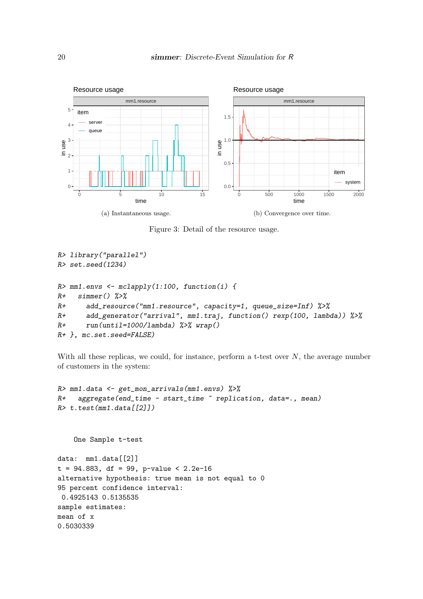<span id="page-19-0"></span>

Figure 3: Detail of the resource usage.

```
R> library("parallel")
R> set.seed(1234)
R> mm1.envs <- mclapply(1:100, function(i) {
R+ simmer() \frac{9}{2} >%
R+ add_resource("mm1.resource", capacity=1, queue_size=Inf) %>%
R+ add_generator("arrival", mm1.traj, function() rexp(100, lambda)) %>%
R+ run(until=1000/lambda) %>% wrap()
R+ }, mc.set.seed=FALSE)
```
With all these replicas, we could, for instance, perform a t-test over  $N$ , the average number of customers in the system:

```
R> mm1.data <- get_mon_arrivals(mm1.envs) %>%
R+ aggregate(end_time - start_time ~ replication, data=., mean)
R> t.test(mm1.data[[2]])
```
One Sample t-test

```
data: mm1.data[[2]]
t = 94.883, df = 99, p-value < 2.2e-16
alternative hypothesis: true mean is not equal to 0
95 percent confidence interval:
 0.4925143 0.5135535
sample estimates:
mean of x
0.5030339
```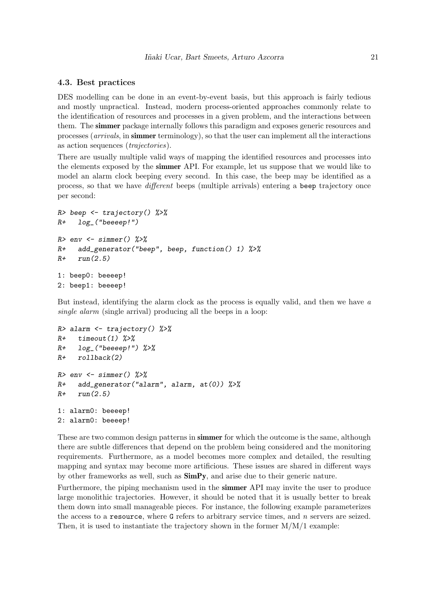#### 4.3. Best practices

DES modelling can be done in an event-by-event basis, but this approach is fairly tedious and mostly unpractical. Instead, modern process-oriented approaches commonly relate to the identification of resources and processes in a given problem, and the interactions between them. The simmer package internally follows this paradigm and exposes generic resources and processes (arrivals, in simmer terminology), so that the user can implement all the interactions as action sequences (trajectories).

There are usually multiple valid ways of mapping the identified resources and processes into the elements exposed by the simmer API. For example, let us suppose that we would like to model an alarm clock beeping every second. In this case, the beep may be identified as a process, so that we have different beeps (multiple arrivals) entering a beep trajectory once per second:

```
R> beep \leq trajectory() %>%
R+ log<sup>("beeeep!")</sup>
R> env <- simmer() \frac{9}{2}>%
R+ add_generator("beep", beep, function() 1) \frac{9}{2}R+ run(2.5)1: beep0: beeeep!
2: beep1: beeeep!
```
But instead, identifying the alarm clock as the process is equally valid, and then we have  $a$ single alarm (single arrival) producing all the beeps in a loop:

```
R> alarm \leq trajectory() %>%
R+ timeout(1) %>%
R+ log_("beeeep!") %>%
R+ rollback(2)R> env <- simmer() \frac{9}{2}>%
R+ add_generator("alarm", alarm, at(0)) %>%
R+ run(2.5)
1: alarm0: beeeep!
2: alarm0: beeeep!
```
These are two common design patterns in **simmer** for which the outcome is the same, although there are subtle differences that depend on the problem being considered and the monitoring requirements. Furthermore, as a model becomes more complex and detailed, the resulting mapping and syntax may become more artificious. These issues are shared in different ways by other frameworks as well, such as SimPy, and arise due to their generic nature.

Furthermore, the piping mechanism used in the simmer API may invite the user to produce large monolithic trajectories. However, it should be noted that it is usually better to break them down into small manageable pieces. For instance, the following example parameterizes the access to a resource, where G refers to arbitrary service times, and  $n$  servers are seized. Then, it is used to instantiate the trajectory shown in the former  $M/M/1$  example: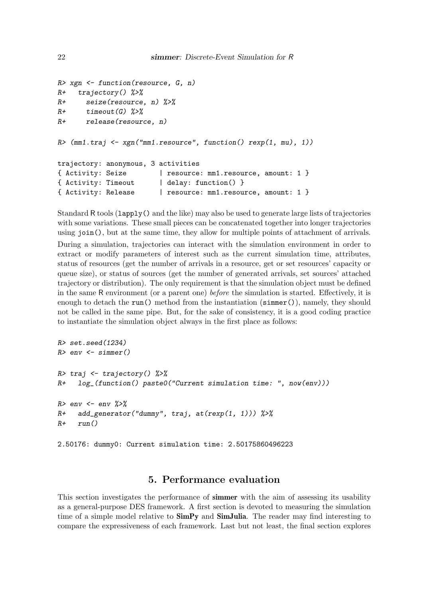```
R> xgn <- function(resource, G, n)
R+ trajectory() %>%
R+ seize(resource, n) %>%
R+ timeout (G) %>%
R+ release(resource, n)
R (mm1.traj \leq xgn("mm1.resource", function() rexp(1, mu), 1))
trajectory: anonymous, 3 activities
{ Activity: Seize | resource: mm1.resource, amount: 1 }
{ Activity: Timeout | delay: function() }
{ Activity: Release | resource: mm1.resource, amount: 1 }
```
Standard R tools (lapply() and the like) may also be used to generate large lists of trajectories with some variations. These small pieces can be concatenated together into longer trajectories using join(), but at the same time, they allow for multiple points of attachment of arrivals. During a simulation, trajectories can interact with the simulation environment in order to extract or modify parameters of interest such as the current simulation time, attributes, status of resources (get the number of arrivals in a resource, get or set resources' capacity or queue size), or status of sources (get the number of generated arrivals, set sources' attached trajectory or distribution). The only requirement is that the simulation object must be defined in the same R environment (or a parent one) before the simulation is started. Effectively, it is enough to detach the run() method from the instantiation (simmer()), namely, they should not be called in the same pipe. But, for the sake of consistency, it is a good coding practice to instantiate the simulation object always in the first place as follows:

```
R> set.seed(1234)
R> env <- simmer()
R> traj <- trajectory() %>%
R+ log_(function() paste0("Current simulation time: ", now(env)))
R> env \leq env \frac{2}{3}R+ add_generator("dummy", traj, at(rexp(1, 1))) %>%
R+ run()
2.50176: dummy0: Current simulation time: 2.50175860496223
```
# 5. Performance evaluation

This section investigates the performance of **simmer** with the aim of assessing its usability as a general-purpose DES framework. A first section is devoted to measuring the simulation time of a simple model relative to  $\text{SimPy}$  and  $\text{SimJulia}$ . The reader may find interesting to compare the expressiveness of each framework. Last but not least, the final section explores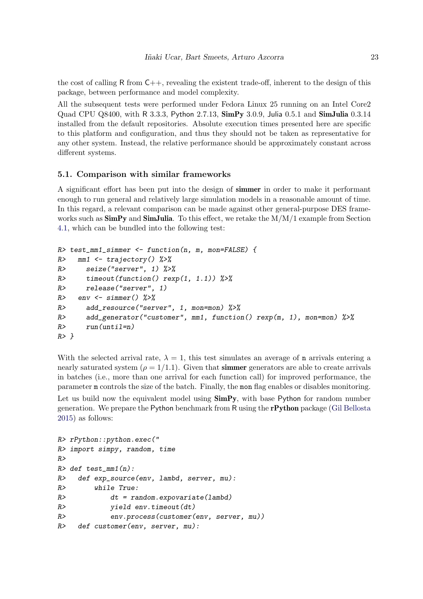the cost of calling R from  $C_{++}$ , revealing the existent trade-off, inherent to the design of this package, between performance and model complexity.

All the subsequent tests were performed under Fedora Linux 25 running on an Intel Core2 Quad CPU Q8400, with R 3.3.3, Python 2.7.13, SimPy 3.0.9, Julia 0.5.1 and SimJulia 0.3.14 installed from the default repositories. Absolute execution times presented here are specific to this platform and configuration, and thus they should not be taken as representative for any other system. Instead, the relative performance should be approximately constant across different systems.

## 5.1. Comparison with similar frameworks

A significant effort has been put into the design of simmer in order to make it performant enough to run general and relatively large simulation models in a reasonable amount of time. In this regard, a relevant comparison can be made against other general-purpose DES frameworks such as  $\textbf{SimPy}$  and  $\textbf{SimJulia}$ . To this effect, we retake the  $M/M/1$  example from Section [4.1,](#page-17-1) which can be bundled into the following test:

```
R> test_mm1_simmer <- function(n, m, mon=FALSE) {
R> mm1 <- trajectory() %>%
R> seize("server", 1) \frac{9}{2}>%
R> timeout(function() rexp(1, 1.1)) %>%
R> release("server", 1)
R> env <- simmer() %>%
R> add_resource("server", 1, mon=mon) %>%
R> add_generator("customer", mm1, function() rexp(m, 1), mon=mon) \frac{9}{2}R> run(intil=n)R > \}
```
With the selected arrival rate,  $\lambda = 1$ , this test simulates an average of **n** arrivals entering a nearly saturated system ( $\rho = 1/1.1$ ). Given that simmer generators are able to create arrivals in batches (i.e., more than one arrival for each function call) for improved performance, the parameter m controls the size of the batch. Finally, the mon flag enables or disables monitoring. Let us build now the equivalent model using  $Simp_y$ , with base Python for random number generation. We prepare the Python benchmark from R using the rPython package [\(Gil Bellosta](#page-28-12) [2015\)](#page-28-12) as follows:

```
R> rPython::python.exec("
R> import simpy, random, time
R>R> def test_mm1(n):
R> def exp_source(env, lambd, server, mu):
R> while True:
R> dt = random.expovariate(lambd)
R> yield env.timeout(dt)
R> env.process(customer(env, server, mu))
R> def customer(env, server, mu):
```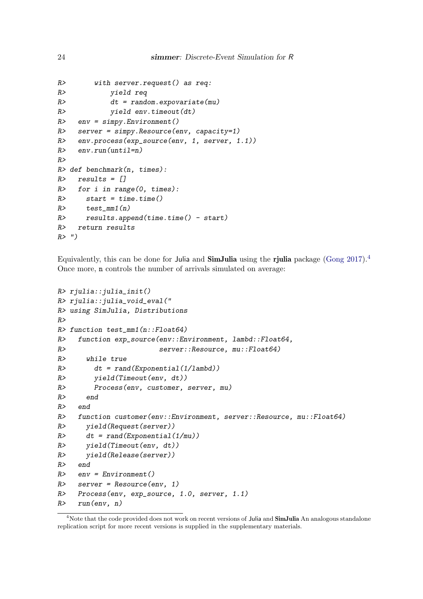```
R> with server.request() as req:
R> yield req
R> dt = random. expovariate(mu)R> yield env.timeout(dt)
R env = simpy. Environment()
R> server = simpy.Resource(env, capacity=1)
R> env.process(exp_source(env, 1, server, 1.1))
R> env.run(until=n)
R>R> def benchmark(n, times):
R> results = []
R> for i in range(0, times):
R> start = time.time()
R> test_mm1(n)
R> results.append(time.time() - start)
R> return results
R> ")
```
Equivalently, this can be done for Julia and SimJulia using the rjulia package [\(Gong](#page-28-13) [2017\)](#page-28-13).[4](#page-23-0) Once more, n controls the number of arrivals simulated on average:

```
R> rjulia:: julia_init()
R> rjulia::julia_void_eval("
R> using SimJulia, Distributions
R>R> function test_mm1(n::Float64)
R> function exp_source(env::Environment, lambd::Float64,
R> server::Resource, mu::Float64)
R> while true
R> dt = rand(Exponential(1/lambda))R> yield(Timeout(env, dt))
R> Process(env, customer, server, mu)
R> end
R> end
R> function customer(env::Environment, server::Resource, mu::Float64)
R> yield(Request(server))
R at = rand(Exponential(1/mu))
R> yield(Timeout(env, dt))
R> yield(Release(server))
R> end
R env = Environment()
R> server = Resource(env, 1)
R> Process(env, exp_source, 1.0, server, 1.1)
R> run(env, n)
```
<span id="page-23-0"></span><sup>&</sup>lt;sup>4</sup>Note that the code provided does not work on recent versions of Julia and SimJulia An analogous standalone replication script for more recent versions is supplied in the supplementary materials.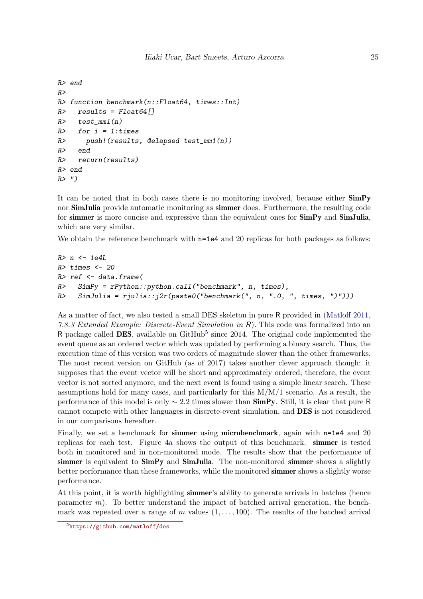```
R> end
R>R> function benchmark(n::Float64, times::Int)
R> results = Float64[]
R> test_mm1(n)
R> for i = 1:times
R> push!(results, @elapsed test_mm1(n))
R> end
R> return(results)
R> end
R> ")
```
It can be noted that in both cases there is no monitoring involved, because either SimPy nor **SimJulia** provide automatic monitoring as **simmer** does. Furthermore, the resulting code for simmer is more concise and expressive than the equivalent ones for  $SimPy$  and  $SimJulia$ , which are very similar.

We obtain the reference benchmark with  $n=1e4$  and 20 replicas for both packages as follows:

```
R> n < - 1e4LR> times <- 20
R> ref <- data.frame(
R> SimPy = rPython::python.call("benchmark", n, times),
R> SimJulia = rjulia::j2r(paste0("benchmark(", n, ".0, ", times, ")")))
```
As a matter of fact, we also tested a small DES skeleton in pure R provided in [\(Matloff](#page-28-14) [2011,](#page-28-14) 7.8.3 Extended Example: Discrete-Event Simulation in R). This code was formalized into an R package called DES, available on  $G$ itHub<sup>[5](#page-24-0)</sup> since 2014. The original code implemented the event queue as an ordered vector which was updated by performing a binary search. Thus, the execution time of this version was two orders of magnitude slower than the other frameworks. The most recent version on GitHub (as of 2017) takes another clever approach though: it supposes that the event vector will be short and approximately ordered; therefore, the event vector is not sorted anymore, and the next event is found using a simple linear search. These assumptions hold for many cases, and particularly for this  $M/M/1$  scenario. As a result, the performance of this model is only  $\sim$  2.2 times slower than **SimPy**. Still, it is clear that pure R cannot compete with other languages in discrete-event simulation, and DES is not considered in our comparisons hereafter.

Finally, we set a benchmark for **simmer** using **microbenchmark**, again with n=1e4 and 20 replicas for each test. Figure [4a](#page-25-0) shows the output of this benchmark. simmer is tested both in monitored and in non-monitored mode. The results show that the performance of simmer is equivalent to SimPy and SimJulia. The non-monitored simmer shows a slightly better performance than these frameworks, while the monitored **simmer** shows a slightly worse performance.

At this point, it is worth highlighting simmer's ability to generate arrivals in batches (hence parameter  $m$ ). To better understand the impact of batched arrival generation, the benchmark was repeated over a range of m values  $(1, \ldots, 100)$ . The results of the batched arrival

<span id="page-24-0"></span><sup>5</sup> <https://github.com/matloff/des>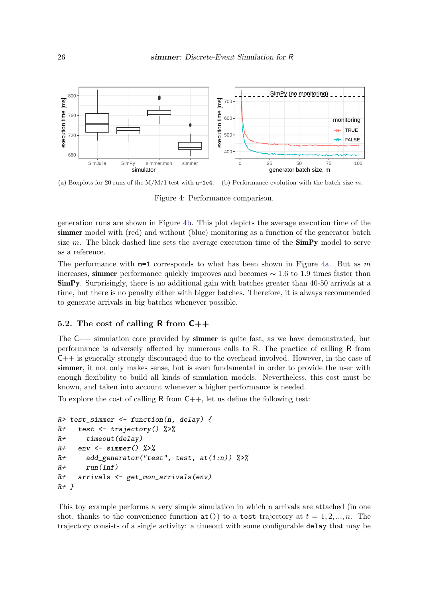<span id="page-25-0"></span>

(a) Boxplots for 20 runs of the  $M/M/1$  test with  $n=1e4$ . (b) Performance evolution with the batch size m.

<span id="page-25-1"></span>Figure 4: Performance comparison.

generation runs are shown in Figure [4b.](#page-25-1) This plot depicts the average execution time of the simmer model with (red) and without (blue) monitoring as a function of the generator batch size  $m$ . The black dashed line sets the average execution time of the  $\text{SimPy}$  model to serve as a reference.

The performance with  $m=1$  corresponds to what has been shown in Figure [4a.](#page-25-0) But as m increases, simmer performance quickly improves and becomes  $\sim 1.6$  to 1.9 times faster than SimPy. Surprisingly, there is no additional gain with batches greater than 40-50 arrivals at a time, but there is no penalty either with bigger batches. Therefore, it is always recommended to generate arrivals in big batches whenever possible.

## 5.2. The cost of calling  $\mathsf{R}$  from  $\mathsf{C}{+}\mathsf{+}$

The  $C_{++}$  simulation core provided by **simmer** is quite fast, as we have demonstrated, but performance is adversely affected by numerous calls to R. The practice of calling R from C++ is generally strongly discouraged due to the overhead involved. However, in the case of simmer, it not only makes sense, but is even fundamental in order to provide the user with enough flexibility to build all kinds of simulation models. Nevertheless, this cost must be known, and taken into account whenever a higher performance is needed.

To explore the cost of calling R from  $C_{++}$ , let us define the following test:

```
R> test_simmer <- function(n, delay) {
R+ test <- trajectory() %>%
R+ timeout(delay)
R+ env \leq simmer() %>%
R+ add_generator("test", test, at(1:n)) %>%
R+ run(Inf)
R+ arrivals <- get_mon_arrivals(env)
R+ }
```
This toy example performs a very simple simulation in which n arrivals are attached (in one shot, thanks to the convenience function  $at()$  to a test trajectory at  $t = 1, 2, ..., n$ . The trajectory consists of a single activity: a timeout with some configurable delay that may be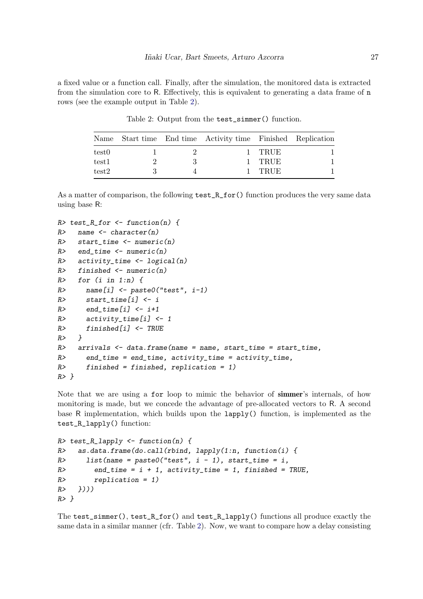<span id="page-26-0"></span>a fixed value or a function call. Finally, after the simulation, the monitored data is extracted from the simulation core to R. Effectively, this is equivalent to generating a data frame of n rows (see the example output in Table [2\)](#page-26-0).

|       |  | Name Start time End time Activity time Finished Replication |        |  |
|-------|--|-------------------------------------------------------------|--------|--|
| test0 |  |                                                             | 1 TRUE |  |
| test1 |  |                                                             | TRUE   |  |
| test2 |  |                                                             | TRUE   |  |

Table 2: Output from the test\_simmer() function.

As a matter of comparison, the following  $test_R$  for () function produces the very same data using base R:

```
R> test_R_for <- function(n) {
R> name \leq character(n)
R> start_time <- numeric(n)
R> end_time <- numeric(n)
R> activity_time \leq logical(n)
R> finished \leq numeric(n)
R> for (i \text{ in } 1:n) {
R> name[i] <- paste0("test", i-1)
R> start_time[i] <- i
R> end_time[i] <- i+1
R> \alpha activity_time [i] <- 1
R> finished[i] <- TRUE
R> }
R> arrivals \leq data.frame(name = name, start_time = start_time,
R> end_time = end_time, activity_time = activity_time,
R> finished = finished, replication = 1)
R> }
```
Note that we are using a for loop to mimic the behavior of simmer's internals, of how monitoring is made, but we concede the advantage of pre-allocated vectors to R. A second base R implementation, which builds upon the lapply() function, is implemented as the test\_R\_lapply() function:

```
R> test_R_lapply \leftarrow function(n) {
R> as.data.frame(do.call(rbind, lapply(1:n, function(i) {
R> list(name = paste0("test", i - 1), start_time = i,
R end_time = i + 1, activity_time = 1, finished = TRUE,
R> replication = 1)
R> \})))
R> }
```
The test\_simmer(), test\_R\_for() and test\_R\_lapply() functions all produce exactly the same data in a similar manner (cfr. Table [2\)](#page-26-0). Now, we want to compare how a delay consisting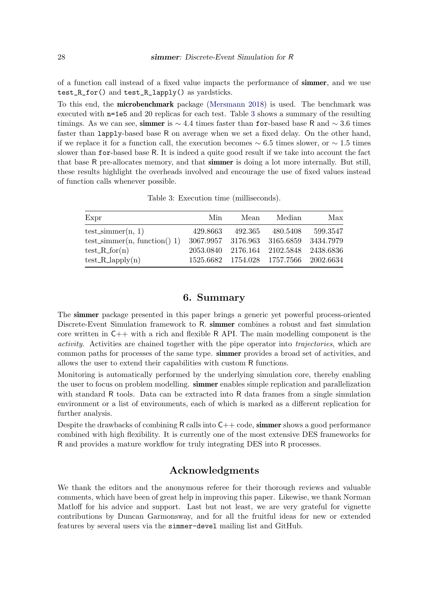of a function call instead of a fixed value impacts the performance of simmer, and we use test\_R\_for() and test\_R\_lapply() as yardsticks.

To this end, the microbenchmark package [\(Mersmann](#page-29-9) [2018\)](#page-29-9) is used. The benchmark was executed with n=1e5 and 20 replicas for each test. Table [3](#page-27-0) shows a summary of the resulting timings. As we can see, simmer is  $\sim 4.4$  times faster than for-based base R and  $\sim 3.6$  times faster than lapply-based base R on average when we set a fixed delay. On the other hand, if we replace it for a function call, the execution becomes  $\sim 6.5$  times slower, or  $\sim 1.5$  times slower than for-based base R. It is indeed a quite good result if we take into account the fact that base R pre-allocates memory, and that simmer is doing a lot more internally. But still, these results highlight the overheads involved and encourage the use of fixed values instead of function calls whenever possible.

<span id="page-27-0"></span>

| Expr                            | Min      | Mean    | Median                                 | Max      |
|---------------------------------|----------|---------|----------------------------------------|----------|
| $test\_simmer(n, 1)$            | 429.8663 | 492.365 | 480.5408                               | 599.3547 |
| test_simmer $(n, function() 1)$ |          |         | 3067.9957 3176.963 3165.6859 3434.7979 |          |
| $test_Rfor(n)$                  |          |         | 2053.0840 2176.164 2102.5848 2438.6836 |          |
| $test_R\_\text{apply}(n)$       |          |         | 1525.6682 1754.028 1757.7566 2002.6634 |          |

Table 3: Execution time (milliseconds).

## 6. Summary

The simmer package presented in this paper brings a generic yet powerful process-oriented Discrete-Event Simulation framework to R. simmer combines a robust and fast simulation core written in  $C++$  with a rich and flexible R API. The main modelling component is the activity. Activities are chained together with the pipe operator into trajectories, which are common paths for processes of the same type. simmer provides a broad set of activities, and allows the user to extend their capabilities with custom R functions.

Monitoring is automatically performed by the underlying simulation core, thereby enabling the user to focus on problem modelling. simmer enables simple replication and parallelization with standard R tools. Data can be extracted into R data frames from a single simulation environment or a list of environments, each of which is marked as a different replication for further analysis.

Despite the drawbacks of combining R calls into  $C++$  code, **simmer** shows a good performance combined with high flexibility. It is currently one of the most extensive DES frameworks for R and provides a mature workflow for truly integrating DES into R processes.

# Acknowledgments

We thank the editors and the anonymous referee for their thorough reviews and valuable comments, which have been of great help in improving this paper. Likewise, we thank Norman Matloff for his advice and support. Last but not least, we are very grateful for vignette contributions by Duncan Garmonsway, and for all the fruitful ideas for new or extended features by several users via the simmer-devel mailing list and GitHub.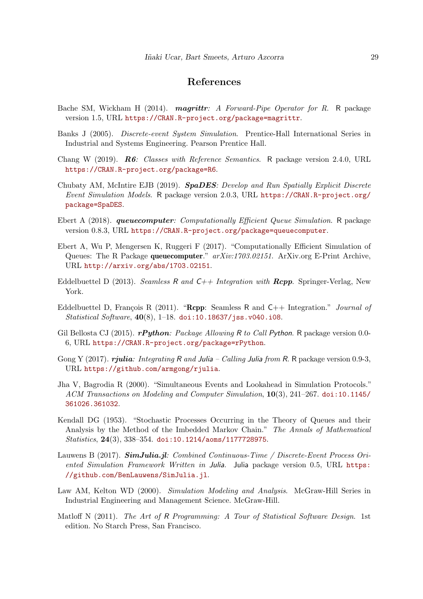# References

- <span id="page-28-2"></span>Bache SM, Wickham H (2014). *magrittr: A Forward-Pipe Operator for R.* R package version 1.5, URL <https://CRAN.R-project.org/package=magrittr>.
- <span id="page-28-1"></span>Banks J (2005). Discrete-event System Simulation. Prentice-Hall International Series in Industrial and Systems Engineering. Pearson Prentice Hall.
- <span id="page-28-7"></span>Chang W (2019). R6: Classes with Reference Semantics. R package version 2.4.0, URL <https://CRAN.R-project.org/package=R6>.
- <span id="page-28-3"></span>Chubaty AM, McIntire EJB (2019). SpaDES: Develop and Run Spatially Explicit Discrete Event Simulation Models. R package version 2.0.3, URL [https://CRAN.R-project.org/](https://CRAN.R-project.org/package=SpaDES) [package=SpaDES](https://CRAN.R-project.org/package=SpaDES).
- <span id="page-28-4"></span>Ebert A (2018). queuecomputer: Computationally Efficient Queue Simulation. R package version 0.8.3, URL <https://CRAN.R-project.org/package=queuecomputer>.
- <span id="page-28-5"></span>Ebert A, Wu P, Mengersen K, Ruggeri F (2017). "Computationally Efficient Simulation of Queues: The R Package queuecomputer."  $arXiv:1703.02151$ . ArXiv.org E-Print Archive, URL <http://arxiv.org/abs/1703.02151>.
- <span id="page-28-9"></span>Eddelbuettel D (2013). Seamless R and  $C_{++}$  Integration with **Rcpp**. Springer-Verlag, New York.
- <span id="page-28-8"></span>Eddelbuettel D, François R (2011). "Repp: Seamless R and  $C_{++}$  Integration." *Journal of* Statistical Software,  $40(8)$ , 1-18. [doi:10.18637/jss.v040.i08](http://dx.doi.org/10.18637/jss.v040.i08).
- <span id="page-28-12"></span>Gil Bellosta CJ (2015). **rPuthon**: Package Allowing R to Call Python. R package version 0.0-6, URL <https://CRAN.R-project.org/package=rPython>.
- <span id="page-28-13"></span>Gong Y (2017). rjulia: Integrating R and Julia – Calling Julia from R. R package version 0.9-3, URL <https://github.com/armgong/rjulia>.
- <span id="page-28-10"></span>Jha V, Bagrodia R (2000). "Simultaneous Events and Lookahead in Simulation Protocols." ACM Transactions on Modeling and Computer Simulation, 10(3), 241–267. [doi:10.1145/](http://dx.doi.org/10.1145/361026.361032) [361026.361032](http://dx.doi.org/10.1145/361026.361032).
- <span id="page-28-11"></span>Kendall DG (1953). "Stochastic Processes Occurring in the Theory of Queues and their Analysis by the Method of the Imbedded Markov Chain." The Annals of Mathematical Statistics, 24(3), 338–354. [doi:10.1214/aoms/1177728975](http://dx.doi.org/10.1214/aoms/1177728975).
- <span id="page-28-6"></span>Lauwens B (2017). **SimJulia.jl:** Combined Continuous-Time / Discrete-Event Process Oriented Simulation Framework Written in Julia. Julia package version 0.5, URL [https:](https://github.com/BenLauwens/SimJulia.jl) [//github.com/BenLauwens/SimJulia.jl](https://github.com/BenLauwens/SimJulia.jl).
- <span id="page-28-0"></span>Law AM, Kelton WD (2000). Simulation Modeling and Analysis. McGraw-Hill Series in Industrial Engineering and Management Science. McGraw-Hill.
- <span id="page-28-14"></span>Matloff N (2011). The Art of R Programming: A Tour of Statistical Software Design. 1st edition. No Starch Press, San Francisco.